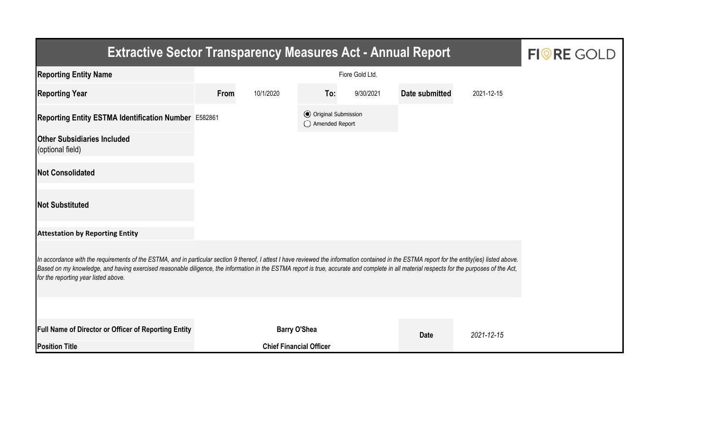| <b>Extractive Sector Transparency Measures Act - Annual Report</b>                                                                                                                                                                                                                                                                                                                                                                    | <b>FIORE GOLD</b> |                                |                                                  |           |                |            |  |  |  |  |
|---------------------------------------------------------------------------------------------------------------------------------------------------------------------------------------------------------------------------------------------------------------------------------------------------------------------------------------------------------------------------------------------------------------------------------------|-------------------|--------------------------------|--------------------------------------------------|-----------|----------------|------------|--|--|--|--|
| <b>Reporting Entity Name</b>                                                                                                                                                                                                                                                                                                                                                                                                          |                   |                                |                                                  |           |                |            |  |  |  |  |
| <b>Reporting Year</b>                                                                                                                                                                                                                                                                                                                                                                                                                 | From              | 10/1/2020                      | To:                                              | 9/30/2021 | Date submitted | 2021-12-15 |  |  |  |  |
| Reporting Entity ESTMA Identification Number E582861                                                                                                                                                                                                                                                                                                                                                                                  |                   |                                | <b>⊙</b> Original Submission<br>◯ Amended Report |           |                |            |  |  |  |  |
| <b>Other Subsidiaries Included</b><br>(optional field)                                                                                                                                                                                                                                                                                                                                                                                |                   |                                |                                                  |           |                |            |  |  |  |  |
| <b>Not Consolidated</b>                                                                                                                                                                                                                                                                                                                                                                                                               |                   |                                |                                                  |           |                |            |  |  |  |  |
| <b>Not Substituted</b>                                                                                                                                                                                                                                                                                                                                                                                                                |                   |                                |                                                  |           |                |            |  |  |  |  |
| <b>Attestation by Reporting Entity</b>                                                                                                                                                                                                                                                                                                                                                                                                |                   |                                |                                                  |           |                |            |  |  |  |  |
| In accordance with the requirements of the ESTMA, and in particular section 9 thereof, I attest I have reviewed the information contained in the ESTMA report for the entity(ies) listed above.<br>Based on my knowledge, and having exercised reasonable diligence, the information in the ESTMA report is true, accurate and complete in all material respects for the purposes of the Act,<br>for the reporting year listed above. |                   |                                |                                                  |           |                |            |  |  |  |  |
|                                                                                                                                                                                                                                                                                                                                                                                                                                       |                   |                                |                                                  |           |                |            |  |  |  |  |
| <b>Full Name of Director or Officer of Reporting Entity</b>                                                                                                                                                                                                                                                                                                                                                                           |                   | <b>Barry O'Shea</b>            |                                                  |           | <b>Date</b>    | 2021-12-15 |  |  |  |  |
| <b>Position Title</b>                                                                                                                                                                                                                                                                                                                                                                                                                 |                   | <b>Chief Financial Officer</b> |                                                  |           |                |            |  |  |  |  |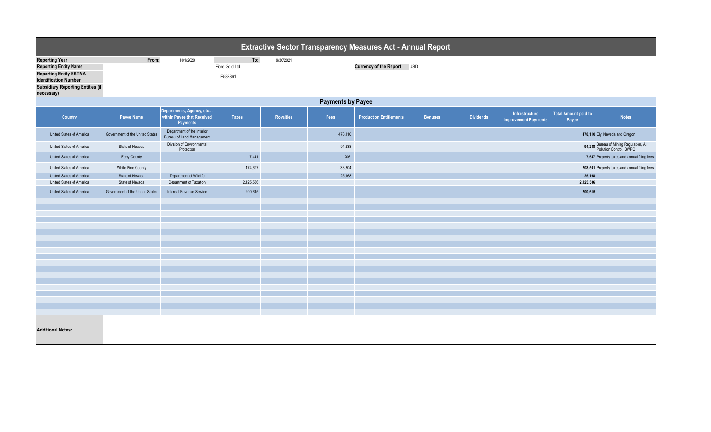|                                                                                                                                                                                  | <b>Extractive Sector Transparency Measures Act - Annual Report</b> |                                                                           |                                   |                  |         |                                |                |                  |                                               |                                      |                                                                    |  |
|----------------------------------------------------------------------------------------------------------------------------------------------------------------------------------|--------------------------------------------------------------------|---------------------------------------------------------------------------|-----------------------------------|------------------|---------|--------------------------------|----------------|------------------|-----------------------------------------------|--------------------------------------|--------------------------------------------------------------------|--|
| <b>Reporting Year</b><br><b>Reporting Entity Name</b><br><b>Reporting Entity ESTMA</b><br><b>Identification Number</b><br><b>Subsidiary Reporting Entities (if</b><br>necessary) | From:                                                              | 10/1/2020                                                                 | To:<br>Fiore Gold Ltd.<br>E582861 | 9/30/2021        |         | Currency of the Report USD     |                |                  |                                               |                                      |                                                                    |  |
|                                                                                                                                                                                  | <b>Payments by Payee</b>                                           |                                                                           |                                   |                  |         |                                |                |                  |                                               |                                      |                                                                    |  |
| Country                                                                                                                                                                          | Payee Name                                                         | Departments, Agency, etc<br>within Payee that Received<br><b>Payments</b> | Taxes                             | <b>Royalties</b> | Fees    | <b>Production Entitlements</b> | <b>Bonuses</b> | <b>Dividends</b> | Infrastructure<br><b>Improvement Payments</b> | <b>Total Amount paid to</b><br>Payee | <b>Notes</b>                                                       |  |
| United States of America                                                                                                                                                         | Government of the United States                                    | Department of the Interior<br>Bureau of Land Management                   |                                   |                  | 478,110 |                                |                |                  |                                               |                                      | 478,110 Ely, Nevada and Oregon                                     |  |
| United States of America                                                                                                                                                         | State of Nevada                                                    | Division of Environmental<br>Protection                                   |                                   |                  | 94,238  |                                |                |                  |                                               |                                      | 94,238 Bureau of Mining Regulation, Air<br>Pollution Control, BWPC |  |
| United States of America                                                                                                                                                         | Ferry County                                                       |                                                                           | 7,441                             |                  | 206     |                                |                |                  |                                               |                                      | 7,647 Property taxes and annual filing fees                        |  |
| United States of America                                                                                                                                                         | White Pine County                                                  |                                                                           | 174,697                           |                  | 33,804  |                                |                |                  |                                               |                                      | 208,501 Property taxes and annual filing fees                      |  |
| United States of America                                                                                                                                                         | State of Nevada                                                    | Department of Wildlife                                                    |                                   |                  | 25,168  |                                |                |                  |                                               | 25,168                               |                                                                    |  |
| United States of America                                                                                                                                                         | State of Nevada                                                    | Department of Taxation                                                    | 2,125,586                         |                  |         |                                |                |                  |                                               | 2,125,586                            |                                                                    |  |
| United States of America                                                                                                                                                         | Government of the United States                                    | Internal Revenue Service                                                  | 200,615                           |                  |         |                                |                |                  |                                               | 200,615                              |                                                                    |  |
|                                                                                                                                                                                  |                                                                    |                                                                           |                                   |                  |         |                                |                |                  |                                               |                                      |                                                                    |  |
|                                                                                                                                                                                  |                                                                    |                                                                           |                                   |                  |         |                                |                |                  |                                               |                                      |                                                                    |  |
|                                                                                                                                                                                  |                                                                    |                                                                           |                                   |                  |         |                                |                |                  |                                               |                                      |                                                                    |  |
|                                                                                                                                                                                  |                                                                    |                                                                           |                                   |                  |         |                                |                |                  |                                               |                                      |                                                                    |  |
|                                                                                                                                                                                  |                                                                    |                                                                           |                                   |                  |         |                                |                |                  |                                               |                                      |                                                                    |  |
|                                                                                                                                                                                  |                                                                    |                                                                           |                                   |                  |         |                                |                |                  |                                               |                                      |                                                                    |  |
|                                                                                                                                                                                  |                                                                    |                                                                           |                                   |                  |         |                                |                |                  |                                               |                                      |                                                                    |  |
|                                                                                                                                                                                  |                                                                    |                                                                           |                                   |                  |         |                                |                |                  |                                               |                                      |                                                                    |  |
|                                                                                                                                                                                  |                                                                    |                                                                           |                                   |                  |         |                                |                |                  |                                               |                                      |                                                                    |  |
|                                                                                                                                                                                  |                                                                    |                                                                           |                                   |                  |         |                                |                |                  |                                               |                                      |                                                                    |  |
|                                                                                                                                                                                  |                                                                    |                                                                           |                                   |                  |         |                                |                |                  |                                               |                                      |                                                                    |  |
|                                                                                                                                                                                  |                                                                    |                                                                           |                                   |                  |         |                                |                |                  |                                               |                                      |                                                                    |  |
|                                                                                                                                                                                  |                                                                    |                                                                           |                                   |                  |         |                                |                |                  |                                               |                                      |                                                                    |  |
| <b>Additional Notes:</b>                                                                                                                                                         |                                                                    |                                                                           |                                   |                  |         |                                |                |                  |                                               |                                      |                                                                    |  |